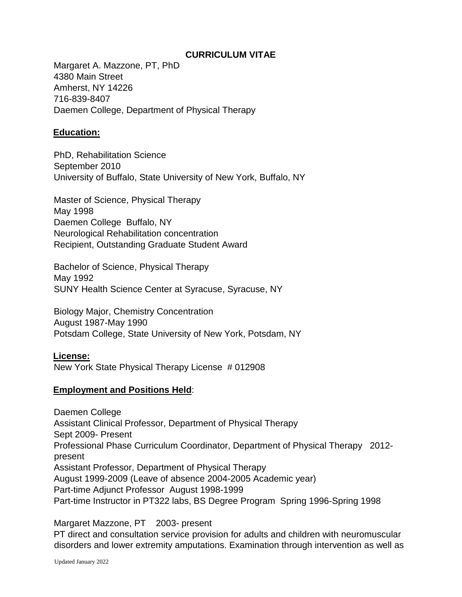### **CURRICULUM VITAE**

Margaret A. Mazzone, PT, PhD 4380 Main Street Amherst, NY 14226 716-839-8407 Daemen College, Department of Physical Therapy

# **Education:**

PhD, Rehabilitation Science September 2010 University of Buffalo, State University of New York, Buffalo, NY

Master of Science, Physical Therapy May 1998 Daemen College Buffalo, NY Neurological Rehabilitation concentration Recipient, Outstanding Graduate Student Award

Bachelor of Science, Physical Therapy May 1992 SUNY Health Science Center at Syracuse, Syracuse, NY

Biology Major, Chemistry Concentration August 1987-May 1990 Potsdam College, State University of New York, Potsdam, NY

### **License:**

New York State Physical Therapy License # 012908

### **Employment and Positions Held**:

Daemen College Assistant Clinical Professor, Department of Physical Therapy Sept 2009- Present Professional Phase Curriculum Coordinator, Department of Physical Therapy 2012 present Assistant Professor, Department of Physical Therapy August 1999-2009 (Leave of absence 2004-2005 Academic year) Part-time Adjunct Professor August 1998-1999 Part-time Instructor in PT322 labs, BS Degree Program Spring 1996-Spring 1998

Margaret Mazzone, PT 2003- present PT direct and consultation service provision for adults and children with neuromuscular disorders and lower extremity amputations. Examination through intervention as well as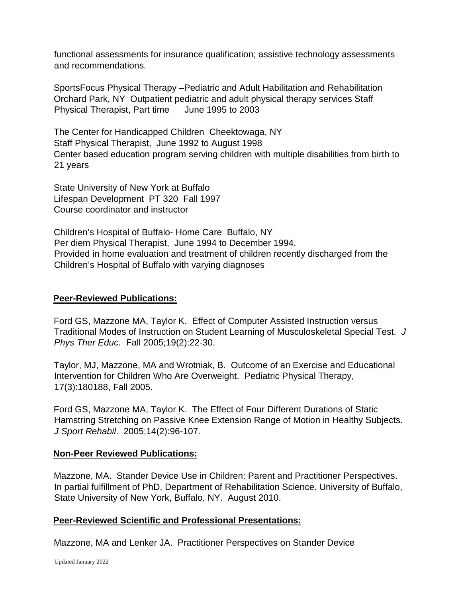functional assessments for insurance qualification; assistive technology assessments and recommendations.

SportsFocus Physical Therapy –Pediatric and Adult Habilitation and Rehabilitation Orchard Park, NY Outpatient pediatric and adult physical therapy services Staff Physical Therapist, Part time June 1995 to 2003

The Center for Handicapped Children Cheektowaga, NY Staff Physical Therapist, June 1992 to August 1998 Center based education program serving children with multiple disabilities from birth to 21 years

State University of New York at Buffalo Lifespan Development PT 320 Fall 1997 Course coordinator and instructor

Children's Hospital of Buffalo- Home Care Buffalo, NY Per diem Physical Therapist, June 1994 to December 1994. Provided in home evaluation and treatment of children recently discharged from the Children's Hospital of Buffalo with varying diagnoses

#### **Peer-Reviewed Publications:**

Ford GS, Mazzone MA, Taylor K. Effect of Computer Assisted Instruction versus Traditional Modes of Instruction on Student Learning of Musculoskeletal Special Test. *J Phys Ther Educ*. Fall 2005;19(2):22-30.

Taylor, MJ, Mazzone, MA and Wrotniak, B. Outcome of an Exercise and Educational Intervention for Children Who Are Overweight. Pediatric Physical Therapy, 17(3):180188, Fall 2005.

Ford GS, Mazzone MA, Taylor K. The Effect of Four Different Durations of Static Hamstring Stretching on Passive Knee Extension Range of Motion in Healthy Subjects. *J Sport Rehabil*. 2005;14(2):96-107.

### **Non-Peer Reviewed Publications:**

Mazzone, MA. Stander Device Use in Children: Parent and Practitioner Perspectives. In partial fulfillment of PhD, Department of Rehabilitation Science. University of Buffalo, State University of New York, Buffalo, NY. August 2010.

### **Peer-Reviewed Scientific and Professional Presentations:**

Mazzone, MA and Lenker JA. Practitioner Perspectives on Stander Device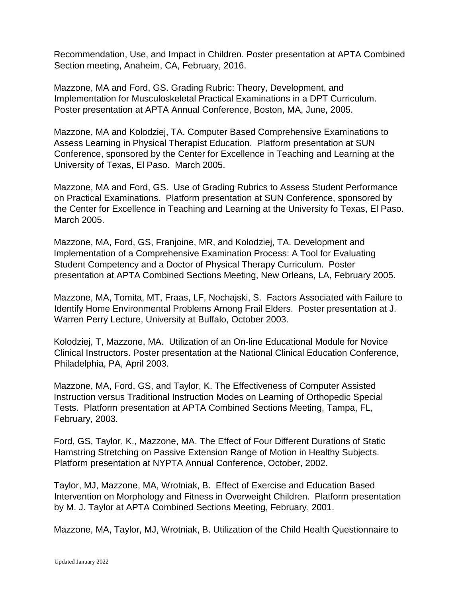Recommendation, Use, and Impact in Children. Poster presentation at APTA Combined Section meeting, Anaheim, CA, February, 2016.

Mazzone, MA and Ford, GS. Grading Rubric: Theory, Development, and Implementation for Musculoskeletal Practical Examinations in a DPT Curriculum. Poster presentation at APTA Annual Conference, Boston, MA, June, 2005.

Mazzone, MA and Kolodziej, TA. Computer Based Comprehensive Examinations to Assess Learning in Physical Therapist Education. Platform presentation at SUN Conference, sponsored by the Center for Excellence in Teaching and Learning at the University of Texas, El Paso. March 2005.

Mazzone, MA and Ford, GS. Use of Grading Rubrics to Assess Student Performance on Practical Examinations. Platform presentation at SUN Conference, sponsored by the Center for Excellence in Teaching and Learning at the University fo Texas, El Paso. March 2005.

Mazzone, MA, Ford, GS, Franjoine, MR, and Kolodziej, TA. Development and Implementation of a Comprehensive Examination Process: A Tool for Evaluating Student Competency and a Doctor of Physical Therapy Curriculum. Poster presentation at APTA Combined Sections Meeting, New Orleans, LA, February 2005.

Mazzone, MA, Tomita, MT, Fraas, LF, Nochajski, S. Factors Associated with Failure to Identify Home Environmental Problems Among Frail Elders. Poster presentation at J. Warren Perry Lecture, University at Buffalo, October 2003.

Kolodziej, T, Mazzone, MA. Utilization of an On-line Educational Module for Novice Clinical Instructors. Poster presentation at the National Clinical Education Conference, Philadelphia, PA, April 2003.

Mazzone, MA, Ford, GS, and Taylor, K. The Effectiveness of Computer Assisted Instruction versus Traditional Instruction Modes on Learning of Orthopedic Special Tests. Platform presentation at APTA Combined Sections Meeting, Tampa, FL, February, 2003.

Ford, GS, Taylor, K., Mazzone, MA. The Effect of Four Different Durations of Static Hamstring Stretching on Passive Extension Range of Motion in Healthy Subjects. Platform presentation at NYPTA Annual Conference, October, 2002.

Taylor, MJ, Mazzone, MA, Wrotniak, B. Effect of Exercise and Education Based Intervention on Morphology and Fitness in Overweight Children. Platform presentation by M. J. Taylor at APTA Combined Sections Meeting, February, 2001.

Mazzone, MA, Taylor, MJ, Wrotniak, B. Utilization of the Child Health Questionnaire to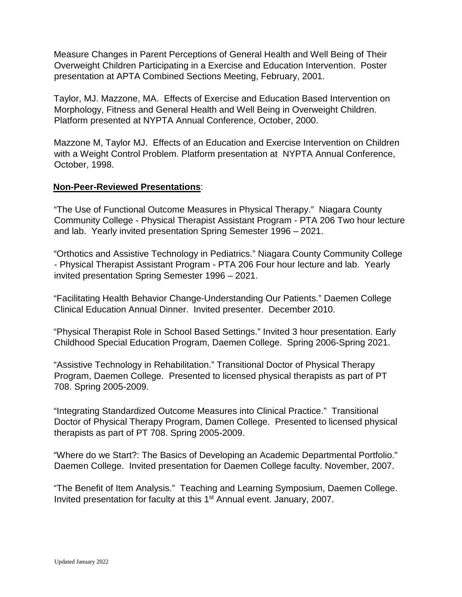Measure Changes in Parent Perceptions of General Health and Well Being of Their Overweight Children Participating in a Exercise and Education Intervention. Poster presentation at APTA Combined Sections Meeting, February, 2001.

Taylor, MJ. Mazzone, MA. Effects of Exercise and Education Based Intervention on Morphology, Fitness and General Health and Well Being in Overweight Children. Platform presented at NYPTA Annual Conference, October, 2000.

Mazzone M, Taylor MJ. Effects of an Education and Exercise Intervention on Children with a Weight Control Problem. Platform presentation at NYPTA Annual Conference, October, 1998.

### **Non-Peer-Reviewed Presentations**:

"The Use of Functional Outcome Measures in Physical Therapy." Niagara County Community College - Physical Therapist Assistant Program - PTA 206 Two hour lecture and lab. Yearly invited presentation Spring Semester 1996 – 2021.

"Orthotics and Assistive Technology in Pediatrics." Niagara County Community College - Physical Therapist Assistant Program - PTA 206 Four hour lecture and lab. Yearly invited presentation Spring Semester 1996 – 2021.

"Facilitating Health Behavior Change-Understanding Our Patients." Daemen College Clinical Education Annual Dinner. Invited presenter. December 2010.

"Physical Therapist Role in School Based Settings." Invited 3 hour presentation. Early Childhood Special Education Program, Daemen College. Spring 2006-Spring 2021.

"Assistive Technology in Rehabilitation." Transitional Doctor of Physical Therapy Program, Daemen College. Presented to licensed physical therapists as part of PT 708. Spring 2005-2009.

"Integrating Standardized Outcome Measures into Clinical Practice." Transitional Doctor of Physical Therapy Program, Damen College. Presented to licensed physical therapists as part of PT 708. Spring 2005-2009.

"Where do we Start?: The Basics of Developing an Academic Departmental Portfolio." Daemen College. Invited presentation for Daemen College faculty. November, 2007.

"The Benefit of Item Analysis." Teaching and Learning Symposium, Daemen College. Invited presentation for faculty at this 1<sup>st</sup> Annual event. January, 2007.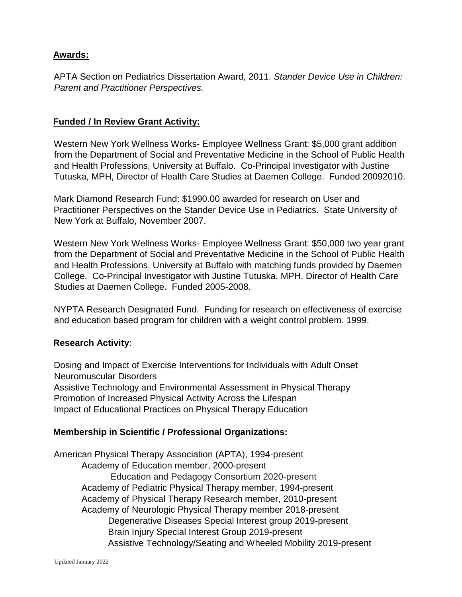## **Awards:**

APTA Section on Pediatrics Dissertation Award, 2011. *Stander Device Use in Children: Parent and Practitioner Perspectives.* 

## **Funded / In Review Grant Activity:**

Western New York Wellness Works- Employee Wellness Grant: \$5,000 grant addition from the Department of Social and Preventative Medicine in the School of Public Health and Health Professions, University at Buffalo. Co-Principal Investigator with Justine Tutuska, MPH, Director of Health Care Studies at Daemen College. Funded 20092010.

Mark Diamond Research Fund: \$1990.00 awarded for research on User and Practitioner Perspectives on the Stander Device Use in Pediatrics. State University of New York at Buffalo, November 2007.

Western New York Wellness Works- Employee Wellness Grant: \$50,000 two year grant from the Department of Social and Preventative Medicine in the School of Public Health and Health Professions, University at Buffalo with matching funds provided by Daemen College. Co-Principal Investigator with Justine Tutuska, MPH, Director of Health Care Studies at Daemen College. Funded 2005-2008.

NYPTA Research Designated Fund. Funding for research on effectiveness of exercise and education based program for children with a weight control problem. 1999.

### **Research Activity**:

Dosing and Impact of Exercise Interventions for Individuals with Adult Onset Neuromuscular Disorders Assistive Technology and Environmental Assessment in Physical Therapy Promotion of Increased Physical Activity Across the Lifespan Impact of Educational Practices on Physical Therapy Education

### **Membership in Scientific / Professional Organizations:**

American Physical Therapy Association (APTA), 1994-present Academy of Education member, 2000-present Education and Pedagogy Consortium 2020-present Academy of Pediatric Physical Therapy member, 1994-present Academy of Physical Therapy Research member, 2010-present Academy of Neurologic Physical Therapy member 2018-present Degenerative Diseases Special Interest group 2019-present Brain Injury Special Interest Group 2019-present Assistive Technology/Seating and Wheeled Mobility 2019-present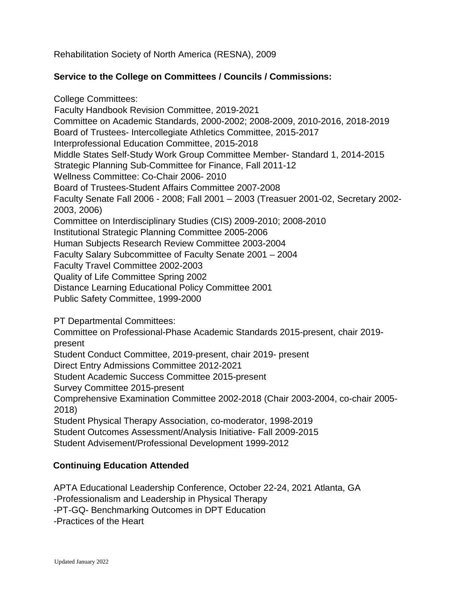Rehabilitation Society of North America (RESNA), 2009

### **Service to the College on Committees / Councils / Commissions:**

College Committees: Faculty Handbook Revision Committee, 2019-2021 Committee on Academic Standards, 2000-2002; 2008-2009, 2010-2016, 2018-2019 Board of Trustees- Intercollegiate Athletics Committee, 2015-2017 Interprofessional Education Committee, 2015-2018 Middle States Self-Study Work Group Committee Member- Standard 1, 2014-2015 Strategic Planning Sub-Committee for Finance, Fall 2011-12 Wellness Committee: Co-Chair 2006- 2010 Board of Trustees-Student Affairs Committee 2007-2008 Faculty Senate Fall 2006 - 2008; Fall 2001 – 2003 (Treasuer 2001-02, Secretary 2002- 2003, 2006) Committee on Interdisciplinary Studies (CIS) 2009-2010; 2008-2010 Institutional Strategic Planning Committee 2005-2006 Human Subjects Research Review Committee 2003-2004 Faculty Salary Subcommittee of Faculty Senate 2001 – 2004 Faculty Travel Committee 2002-2003 Quality of Life Committee Spring 2002 Distance Learning Educational Policy Committee 2001 Public Safety Committee, 1999-2000

PT Departmental Committees:

Committee on Professional-Phase Academic Standards 2015-present, chair 2019 present

Student Conduct Committee, 2019-present, chair 2019- present

Direct Entry Admissions Committee 2012-2021

Student Academic Success Committee 2015-present

Survey Committee 2015-present

Comprehensive Examination Committee 2002-2018 (Chair 2003-2004, co-chair 2005- 2018)

Student Physical Therapy Association, co-moderator, 1998-2019

Student Outcomes Assessment/Analysis Initiative- Fall 2009-2015

Student Advisement/Professional Development 1999-2012

### **Continuing Education Attended**

APTA Educational Leadership Conference, October 22-24, 2021 Atlanta, GA

-Professionalism and Leadership in Physical Therapy

-PT-GQ- Benchmarking Outcomes in DPT Education

-Practices of the Heart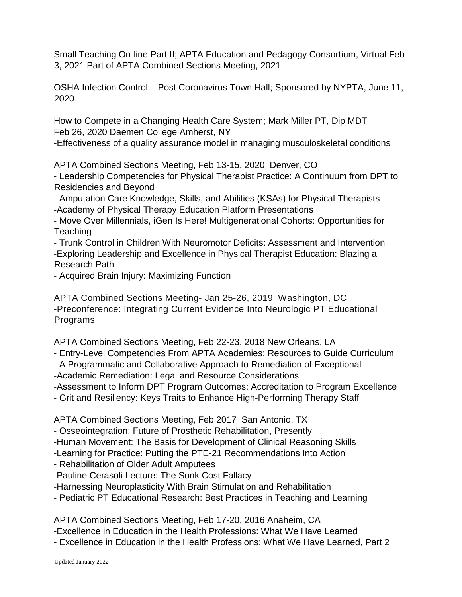Small Teaching On-line Part II; APTA Education and Pedagogy Consortium, Virtual Feb 3, 2021 Part of APTA Combined Sections Meeting, 2021

OSHA Infection Control – Post Coronavirus Town Hall; Sponsored by NYPTA, June 11, 2020

How to Compete in a Changing Health Care System; Mark Miller PT, Dip MDT Feb 26, 2020 Daemen College Amherst, NY

-Effectiveness of a quality assurance model in managing musculoskeletal conditions

APTA Combined Sections Meeting, Feb 13-15, 2020 Denver, CO

- Leadership Competencies for Physical Therapist Practice: A Continuum from DPT to Residencies and Beyond

- Amputation Care Knowledge, Skills, and Abilities (KSAs) for Physical Therapists -Academy of Physical Therapy Education Platform Presentations

- Move Over Millennials, iGen Is Here! Multigenerational Cohorts: Opportunities for **Teaching** 

- Trunk Control in Children With Neuromotor Deficits: Assessment and Intervention -Exploring Leadership and Excellence in Physical Therapist Education: Blazing a Research Path

- Acquired Brain Injury: Maximizing Function

APTA Combined Sections Meeting- Jan 25-26, 2019 Washington, DC -Preconference: Integrating Current Evidence Into Neurologic PT Educational Programs

APTA Combined Sections Meeting, Feb 22-23, 2018 New Orleans, LA

- Entry-Level Competencies From APTA Academies: Resources to Guide Curriculum

- A Programmatic and Collaborative Approach to Remediation of Exceptional

-Academic Remediation: Legal and Resource Considerations

-Assessment to Inform DPT Program Outcomes: Accreditation to Program Excellence

- Grit and Resiliency: Keys Traits to Enhance High-Performing Therapy Staff

APTA Combined Sections Meeting, Feb 2017 San Antonio, TX

- Osseointegration: Future of Prosthetic Rehabilitation, Presently

-Human Movement: The Basis for Development of Clinical Reasoning Skills

-Learning for Practice: Putting the PTE-21 Recommendations Into Action

- Rehabilitation of Older Adult Amputees

-Pauline Cerasoli Lecture: The Sunk Cost Fallacy

-Harnessing Neuroplasticity With Brain Stimulation and Rehabilitation

- Pediatric PT Educational Research: Best Practices in Teaching and Learning

APTA Combined Sections Meeting, Feb 17-20, 2016 Anaheim, CA

-Excellence in Education in the Health Professions: What We Have Learned

- Excellence in Education in the Health Professions: What We Have Learned, Part 2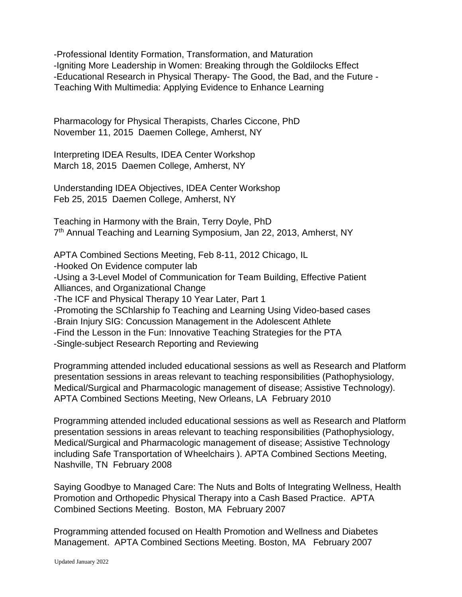-Professional Identity Formation, Transformation, and Maturation -Igniting More Leadership in Women: Breaking through the Goldilocks Effect -Educational Research in Physical Therapy- The Good, the Bad, and the Future - Teaching With Multimedia: Applying Evidence to Enhance Learning

Pharmacology for Physical Therapists, Charles Ciccone, PhD November 11, 2015 Daemen College, Amherst, NY

Interpreting IDEA Results, IDEA Center Workshop March 18, 2015 Daemen College, Amherst, NY

Understanding IDEA Objectives, IDEA Center Workshop Feb 25, 2015 Daemen College, Amherst, NY

Teaching in Harmony with the Brain, Terry Doyle, PhD 7<sup>th</sup> Annual Teaching and Learning Symposium, Jan 22, 2013, Amherst, NY

APTA Combined Sections Meeting, Feb 8-11, 2012 Chicago, IL -Hooked On Evidence computer lab -Using a 3-Level Model of Communication for Team Building, Effective Patient Alliances, and Organizational Change -The ICF and Physical Therapy 10 Year Later, Part 1 -Promoting the SChlarship fo Teaching and Learning Using Video-based cases -Brain Injury SIG: Concussion Management in the Adolescent Athlete -Find the Lesson in the Fun: Innovative Teaching Strategies for the PTA -Single-subject Research Reporting and Reviewing

Programming attended included educational sessions as well as Research and Platform presentation sessions in areas relevant to teaching responsibilities (Pathophysiology, Medical/Surgical and Pharmacologic management of disease; Assistive Technology). APTA Combined Sections Meeting, New Orleans, LA February 2010

Programming attended included educational sessions as well as Research and Platform presentation sessions in areas relevant to teaching responsibilities (Pathophysiology, Medical/Surgical and Pharmacologic management of disease; Assistive Technology including Safe Transportation of Wheelchairs ). APTA Combined Sections Meeting, Nashville, TN February 2008

Saying Goodbye to Managed Care: The Nuts and Bolts of Integrating Wellness, Health Promotion and Orthopedic Physical Therapy into a Cash Based Practice. APTA Combined Sections Meeting. Boston, MA February 2007

Programming attended focused on Health Promotion and Wellness and Diabetes Management. APTA Combined Sections Meeting. Boston, MA February 2007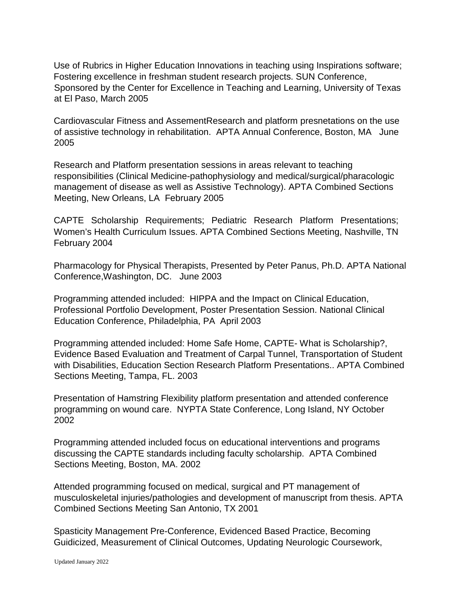Use of Rubrics in Higher Education Innovations in teaching using Inspirations software; Fostering excellence in freshman student research projects. SUN Conference, Sponsored by the Center for Excellence in Teaching and Learning, University of Texas at El Paso, March 2005

Cardiovascular Fitness and AssementResearch and platform presnetations on the use of assistive technology in rehabilitation. APTA Annual Conference, Boston, MA June 2005

Research and Platform presentation sessions in areas relevant to teaching responsibilities (Clinical Medicine-pathophysiology and medical/surgical/pharacologic management of disease as well as Assistive Technology). APTA Combined Sections Meeting, New Orleans, LA February 2005

CAPTE Scholarship Requirements; Pediatric Research Platform Presentations; Women's Health Curriculum Issues. APTA Combined Sections Meeting, Nashville, TN February 2004

Pharmacology for Physical Therapists, Presented by Peter Panus, Ph.D. APTA National Conference,Washington, DC. June 2003

Programming attended included: HIPPA and the Impact on Clinical Education, Professional Portfolio Development, Poster Presentation Session. National Clinical Education Conference, Philadelphia, PA April 2003

Programming attended included: Home Safe Home, CAPTE- What is Scholarship?, Evidence Based Evaluation and Treatment of Carpal Tunnel, Transportation of Student with Disabilities, Education Section Research Platform Presentations.. APTA Combined Sections Meeting, Tampa, FL. 2003

Presentation of Hamstring Flexibility platform presentation and attended conference programming on wound care. NYPTA State Conference, Long Island, NY October 2002

Programming attended included focus on educational interventions and programs discussing the CAPTE standards including faculty scholarship. APTA Combined Sections Meeting, Boston, MA. 2002

Attended programming focused on medical, surgical and PT management of musculoskeletal injuries/pathologies and development of manuscript from thesis. APTA Combined Sections Meeting San Antonio, TX 2001

Spasticity Management Pre-Conference, Evidenced Based Practice, Becoming Guidicized, Measurement of Clinical Outcomes, Updating Neurologic Coursework,